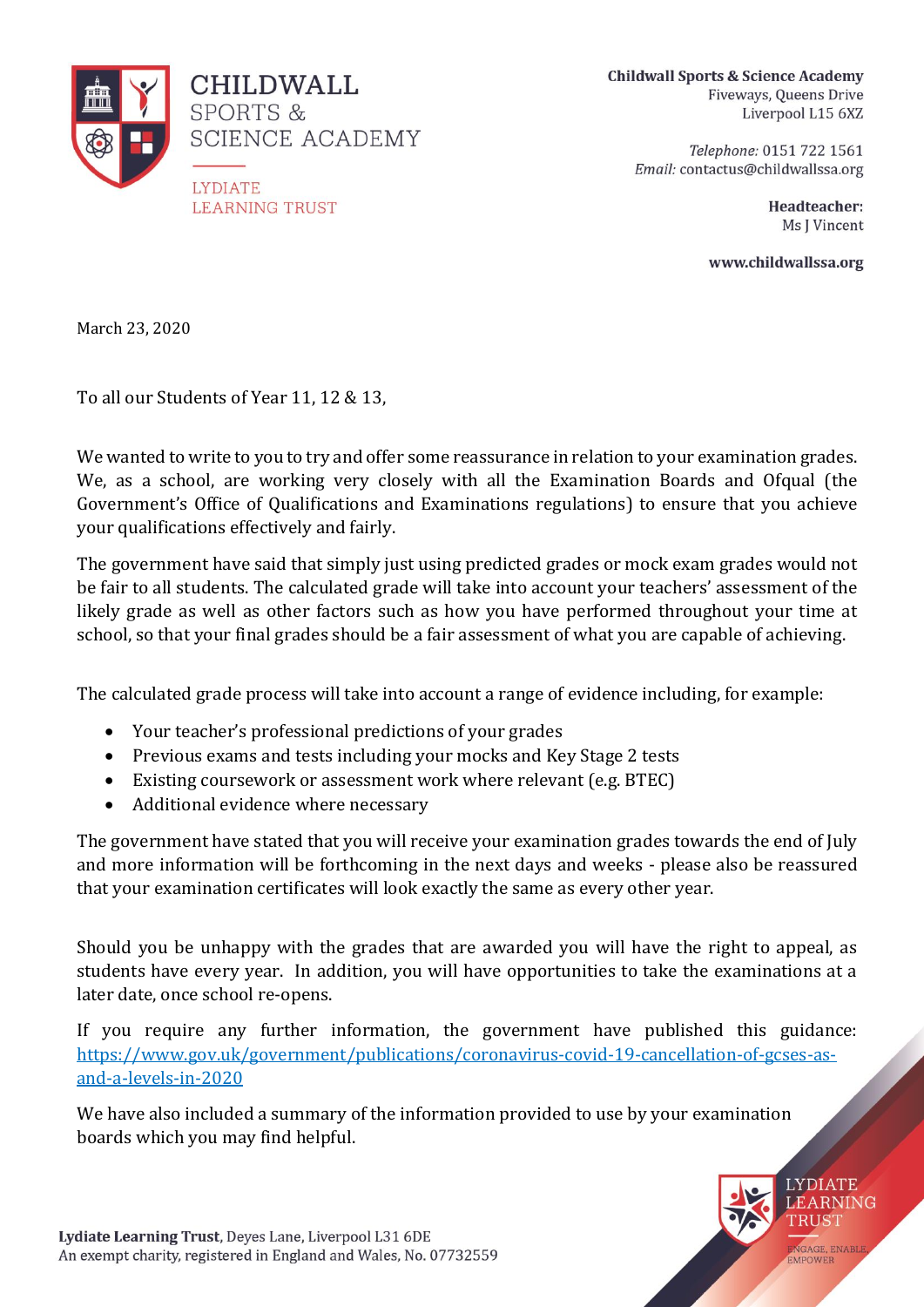

**Childwall Sports & Science Academy** Fiveways, Queens Drive Liverpool L15 6XZ

> Telephone: 0151 722 1561 Email: contactus@childwallssa.org

> > Headteacher: Ms J Vincent

www.childwallssa.org

March 23, 2020

To all our Students of Year 11, 12 & 13,

We wanted to write to you to try and offer some reassurance in relation to your examination grades. We, as a school, are working very closely with all the Examination Boards and Ofqual (the Government's Office of Qualifications and Examinations regulations) to ensure that you achieve your qualifications effectively and fairly.

The government have said that simply just using predicted grades or mock exam grades would not be fair to all students. The calculated grade will take into account your teachers' assessment of the likely grade as well as other factors such as how you have performed throughout your time at school, so that your final grades should be a fair assessment of what you are capable of achieving.

The calculated grade process will take into account a range of evidence including, for example:

- Your teacher's professional predictions of your grades
- Previous exams and tests including your mocks and Key Stage 2 tests
- Existing coursework or assessment work where relevant (e.g. BTEC)
- Additional evidence where necessary

The government have stated that you will receive your examination grades towards the end of July and more information will be forthcoming in the next days and weeks - please also be reassured that your examination certificates will look exactly the same as every other year.

Should you be unhappy with the grades that are awarded you will have the right to appeal, as students have every year. In addition, you will have opportunities to take the examinations at a later date, once school re-opens.

If you require any further information, the government have published this guidance: [https://www.gov.uk/government/publications/coronavirus-covid-19-cancellation-of-gcses-as](https://www.gov.uk/government/publications/coronavirus-covid-19-cancellation-of-gcses-as-and-a-levels-in-2020)[and-a-levels-in-2020](https://www.gov.uk/government/publications/coronavirus-covid-19-cancellation-of-gcses-as-and-a-levels-in-2020)

We have also included a summary of the information provided to use by your examination boards which you may find helpful.

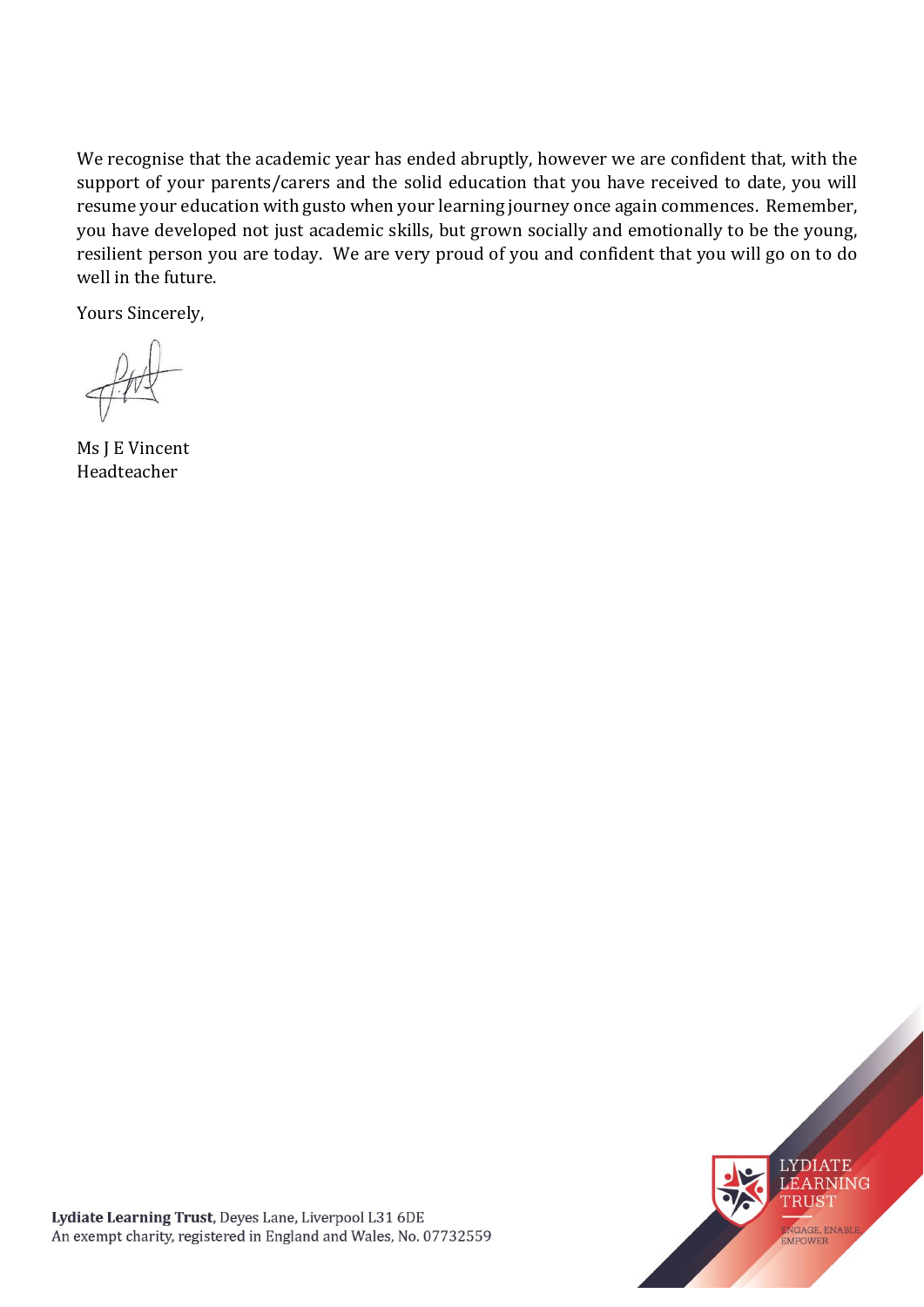We recognise that the academic year has ended abruptly, however we are confident that, with the support of your parents/carers and the solid education that you have received to date, you will resume your education with gusto when your learning journey once again commences. Remember, you have developed not just academic skills, but grown socially and emotionally to be the young, resilient person you are today. We are very proud of you and confident that you will go on to do well in the future.

Yours Sincerely,

Ms J E Vincent Headteacher

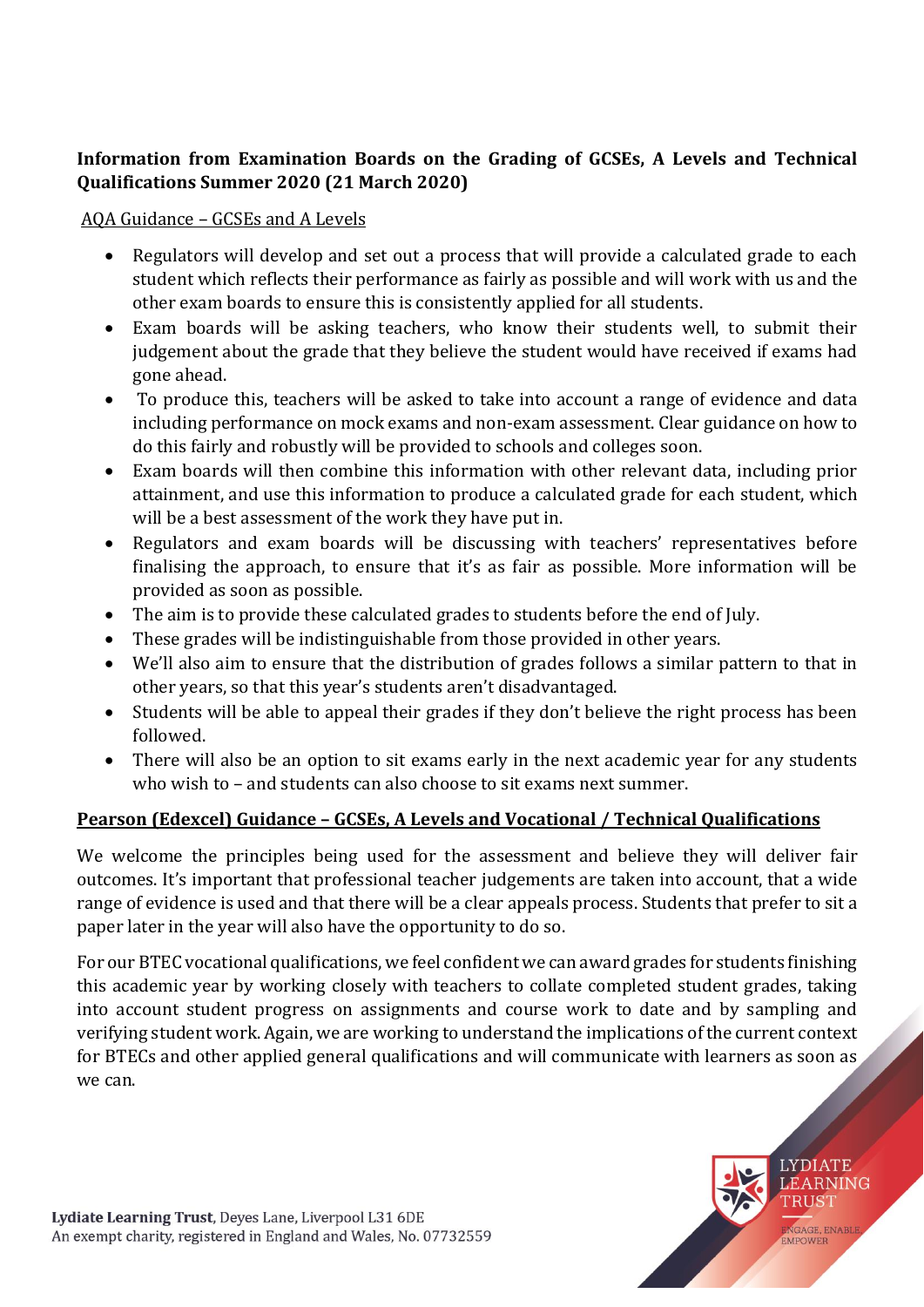### **Information from Examination Boards on the Grading of GCSEs, A Levels and Technical Qualifications Summer 2020 (21 March 2020)**

#### AQA Guidance – GCSEs and A Levels

- Regulators will develop and set out a process that will provide a calculated grade to each student which reflects their performance as fairly as possible and will work with us and the other exam boards to ensure this is consistently applied for all students.
- Exam boards will be asking teachers, who know their students well, to submit their judgement about the grade that they believe the student would have received if exams had gone ahead.
- To produce this, teachers will be asked to take into account a range of evidence and data including performance on mock exams and non-exam assessment. Clear guidance on how to do this fairly and robustly will be provided to schools and colleges soon.
- Exam boards will then combine this information with other relevant data, including prior attainment, and use this information to produce a calculated grade for each student, which will be a best assessment of the work they have put in.
- Regulators and exam boards will be discussing with teachers' representatives before finalising the approach, to ensure that it's as fair as possible. More information will be provided as soon as possible.
- The aim is to provide these calculated grades to students before the end of July.
- These grades will be indistinguishable from those provided in other years.
- We'll also aim to ensure that the distribution of grades follows a similar pattern to that in other years, so that this year's students aren't disadvantaged.
- Students will be able to appeal their grades if they don't believe the right process has been followed.
- There will also be an option to sit exams early in the next academic year for any students who wish to – and students can also choose to sit exams next summer.

### **Pearson (Edexcel) Guidance – GCSEs, A Levels and Vocational / Technical Qualifications**

We welcome the principles being used for the assessment and believe they will deliver fair outcomes. It's important that professional teacher judgements are taken into account, that a wide range of evidence is used and that there will be a clear appeals process. Students that prefer to sit a paper later in the year will also have the opportunity to do so.

For our BTEC vocational qualifications, we feel confident we can award grades for students finishing this academic year by working closely with teachers to collate completed student grades, taking into account student progress on assignments and course work to date and by sampling and verifying student work. Again, we are working to understand the implications of the current context for BTECs and other applied general qualifications and will communicate with learners as soon as we can.

> **LYDIATE LEARNING** TRUST

NGAGE, ENABLE

FMPOWEE